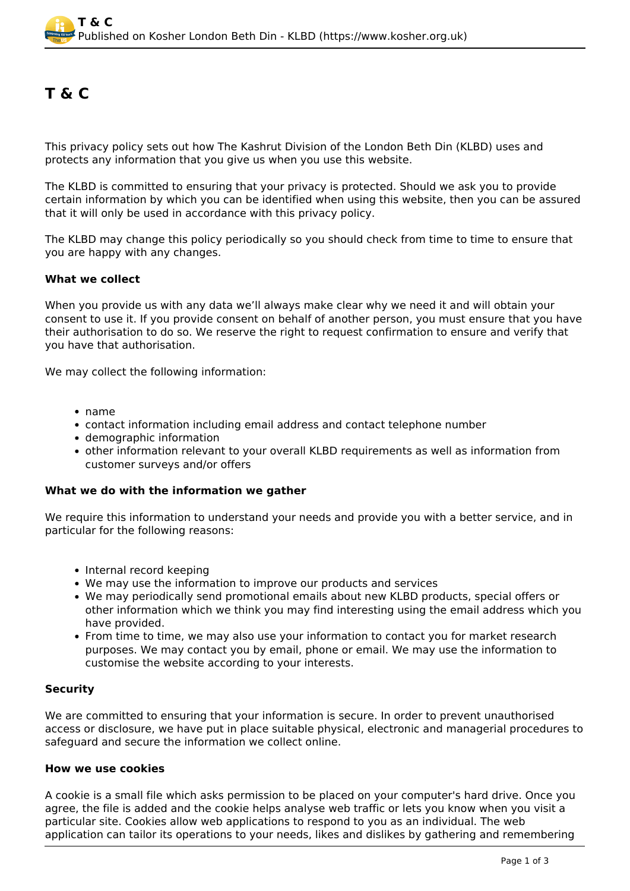# **T & C**

This privacy policy sets out how The Kashrut Division of the London Beth Din (KLBD) uses and protects any information that you give us when you use this website.

The KLBD is committed to ensuring that your privacy is protected. Should we ask you to provide certain information by which you can be identified when using this website, then you can be assured that it will only be used in accordance with this privacy policy.

The KLBD may change this policy periodically so you should check from time to time to ensure that you are happy with any changes.

## **What we collect**

When you provide us with any data we'll always make clear why we need it and will obtain your consent to use it. If you provide consent on behalf of another person, you must ensure that you have their authorisation to do so. We reserve the right to request confirmation to ensure and verify that you have that authorisation.

We may collect the following information:

- name
- contact information including email address and contact telephone number
- demographic information
- other information relevant to your overall KLBD requirements as well as information from customer surveys and/or offers

## **What we do with the information we gather**

We require this information to understand your needs and provide you with a better service, and in particular for the following reasons:

- Internal record keeping
- We may use the information to improve our products and services
- We may periodically send promotional emails about new KLBD products, special offers or other information which we think you may find interesting using the email address which you have provided.
- From time to time, we may also use your information to contact you for market research purposes. We may contact you by email, phone or email. We may use the information to customise the website according to your interests.

# **Security**

We are committed to ensuring that your information is secure. In order to prevent unauthorised access or disclosure, we have put in place suitable physical, electronic and managerial procedures to safeguard and secure the information we collect online.

## **How we use cookies**

A cookie is a small file which asks permission to be placed on your computer's hard drive. Once you agree, the file is added and the cookie helps analyse web traffic or lets you know when you visit a particular site. Cookies allow web applications to respond to you as an individual. The web application can tailor its operations to your needs, likes and dislikes by gathering and remembering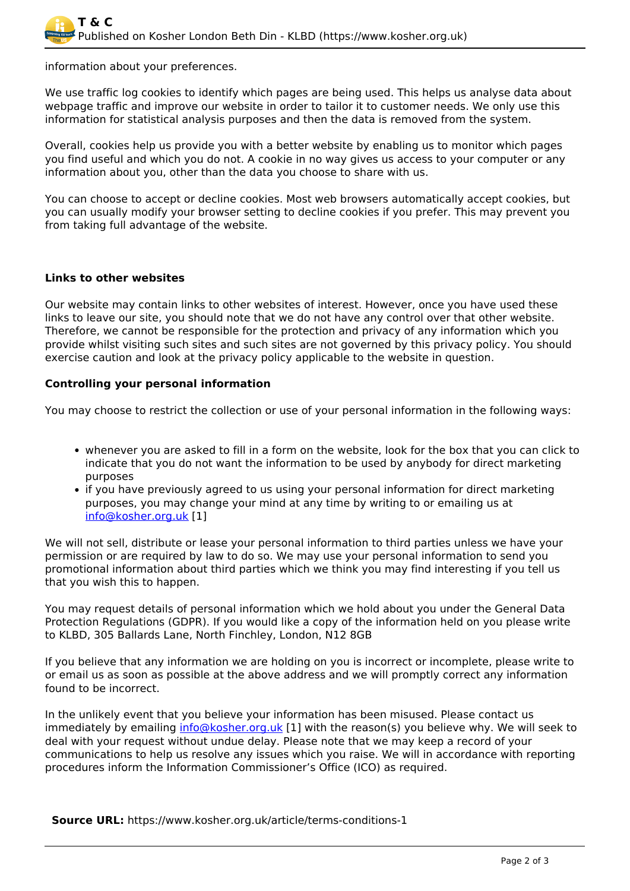information about your preferences.

We use traffic log cookies to identify which pages are being used. This helps us analyse data about webpage traffic and improve our website in order to tailor it to customer needs. We only use this information for statistical analysis purposes and then the data is removed from the system.

Overall, cookies help us provide you with a better website by enabling us to monitor which pages you find useful and which you do not. A cookie in no way gives us access to your computer or any information about you, other than the data you choose to share with us.

You can choose to accept or decline cookies. Most web browsers automatically accept cookies, but you can usually modify your browser setting to decline cookies if you prefer. This may prevent you from taking full advantage of the website.

## **Links to other websites**

Our website may contain links to other websites of interest. However, once you have used these links to leave our site, you should note that we do not have any control over that other website. Therefore, we cannot be responsible for the protection and privacy of any information which you provide whilst visiting such sites and such sites are not governed by this privacy policy. You should exercise caution and look at the privacy policy applicable to the website in question.

## **Controlling your personal information**

You may choose to restrict the collection or use of your personal information in the following ways:

- whenever you are asked to fill in a form on the website, look for the box that you can click to indicate that you do not want the information to be used by anybody for direct marketing purposes
- if you have previously agreed to us using your personal information for direct marketing purposes, you may change your mind at any time by writing to or emailing us at [info@kosher.org.uk](mailto:info@kosher.org.uk) [1]

We will not sell, distribute or lease your personal information to third parties unless we have your permission or are required by law to do so. We may use your personal information to send you promotional information about third parties which we think you may find interesting if you tell us that you wish this to happen.

You may request details of personal information which we hold about you under the General Data Protection Regulations (GDPR). If you would like a copy of the information held on you please write to KLBD, 305 Ballards Lane, North Finchley, London, N12 8GB

If you believe that any information we are holding on you is incorrect or incomplete, please write to or email us as soon as possible at the above address and we will promptly correct any information found to be incorrect.

In the unlikely event that you believe your information has been misused. Please contact us immediately by emailing [info@kosher.org.uk](mailto:info@kosher.org.uk) [1] with the reason(s) you believe why. We will seek to deal with your request without undue delay. Please note that we may keep a record of your communications to help us resolve any issues which you raise. We will in accordance with reporting procedures inform the Information Commissioner's Office (ICO) as required.

**Source URL:** https://www.kosher.org.uk/article/terms-conditions-1